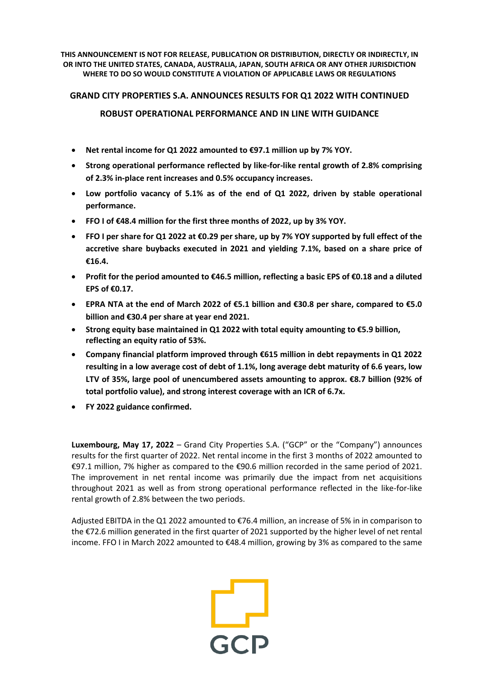**THIS ANNOUNCEMENT IS NOT FOR RELEASE, PUBLICATION OR DISTRIBUTION, DIRECTLY OR INDIRECTLY, IN OR INTO THE UNITED STATES, CANADA, AUSTRALIA, JAPAN, SOUTH AFRICA OR ANY OTHER JURISDICTION WHERE TO DO SO WOULD CONSTITUTE A VIOLATION OF APPLICABLE LAWS OR REGULATIONS**

## **GRAND CITY PROPERTIES S.A. ANNOUNCES RESULTS FOR Q1 2022 WITH CONTINUED**

- **ROBUST OPERATIONAL PERFORMANCE AND IN LINE WITH GUIDANCE**
- **Net rental income for Q1 2022 amounted to €97.1 million up by 7% YOY.**
- **Strong operational performance reflected by like-for-like rental growth of 2.8% comprising of 2.3% in-place rent increases and 0.5% occupancy increases.**
- **Low portfolio vacancy of 5.1% as of the end of Q1 2022, driven by stable operational performance.**
- **FFO I of €48.4 million for the first three months of 2022, up by 3% YOY.**
- FFO I per share for Q1 2022 at €0.29 per share, up by 7% YOY supported by full effect of the **accretive share buybacks executed in 2021 and yielding 7.1%, based on a share price of €16.4.**
- Profit for the period amounted to  $\epsilon$ 46.5 million, reflecting a basic EPS of  $\epsilon$ 0.18 and a diluted **EPS of €0.17.**
- EPRA NTA at the end of March 2022 of  $\epsilon$ 5.1 billion and  $\epsilon$ 30.8 per share, compared to  $\epsilon$ 5.0 **billion and €30.4 per share at year end 2021.**
- **Strong equity base maintained in Q1 2022 with total equity amounting to €5.9 billion, reflecting an equity ratio of 53%.**
- **Company financial platform improved through €615 million in debt repayments in Q1 2022 resulting in a low average cost of debt of 1.1%, long average debt maturity of 6.6 years, low LTV of 35%, large pool of unencumbered assets amounting to approx. €8.7 billion (92% of total portfolio value), and strong interest coverage with an ICR of 6.7x.**
- **FY 2022 guidance confirmed.**

**Luxembourg, May 17, 2022** – Grand City Properties S.A. ("GCP" or the "Company") announces results for the first quarter of 2022. Net rental income in the first 3 months of 2022 amounted to €97.1 million, 7% higher as compared to the €90.6 million recorded in the same period of 2021. The improvement in net rental income was primarily due the impact from net acquisitions throughout 2021 as well as from strong operational performance reflected in the like-for-like rental growth of 2.8% between the two periods.

Adjusted EBITDA in the Q1 2022 amounted to €76.4 million, an increase of 5% in in comparison to the €72.6 million generated in the first quarter of 2021 supported by the higher level of net rental income. FFO I in March 2022 amounted to €48.4 million, growing by 3% as compared to the same

 $\begin{array}{c} \begin{array}{c} \text{-} \\ \text{-} \\ \text{-} \\ \text{-} \\ \text{-} \\ \end{array} \end{array}$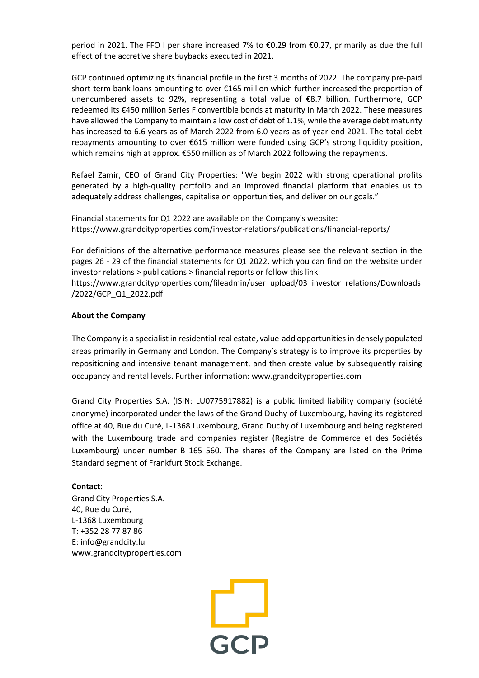period in 2021. The FFO I per share increased 7% to €0.29 from €0.27, primarily as due the full effect of the accretive share buybacks executed in 2021.

GCP continued optimizing its financial profile in the first 3 months of 2022. The company pre-paid short-term bank loans amounting to over €165 million which further increased the proportion of unencumbered assets to 92%, representing a total value of €8.7 billion. Furthermore, GCP redeemed its €450 million Series F convertible bonds at maturity in March 2022. These measures have allowed the Company to maintain a low cost of debt of 1.1%, while the average debt maturity has increased to 6.6 years as of March 2022 from 6.0 years as of year-end 2021. The total debt repayments amounting to over €615 million were funded using GCP's strong liquidity position, which remains high at approx. €550 million as of March 2022 following the repayments.

Refael Zamir, CEO of Grand City Properties: "We begin 2022 with strong operational profits generated by a high-quality portfolio and an improved financial platform that enables us to adequately address challenges, capitalise on opportunities, and deliver on our goals."

Financial statements for Q1 2022 are available on the Company's website: <https://www.grandcityproperties.com/investor-relations/publications/financial-reports/>

For definitions of the alternative performance measures please see the relevant section in the pages 26 - 29 of the financial statements for Q1 2022, which you can find on the website under investor relations > publications > financial reports or follow this link:

[https://www.grandcityproperties.com/fileadmin/user\\_upload/03\\_investor\\_relations/Downloads](https://www.grandcityproperties.com/fileadmin/user_upload/03_investor_relations/Downloads/2022/GCP_Q1_2022.pdf) [/2022/GCP\\_Q1\\_2022.pdf](https://www.grandcityproperties.com/fileadmin/user_upload/03_investor_relations/Downloads/2022/GCP_Q1_2022.pdf)

## **About the Company**

The Company is a specialist in residential real estate, value-add opportunitiesin densely populated areas primarily in Germany and London. The Company's strategy is to improve its properties by repositioning and intensive tenant management, and then create value by subsequently raising occupancy and rental levels. Further information: www.grandcityproperties.com

Grand City Properties S.A. (ISIN: LU0775917882) is a public limited liability company (société anonyme) incorporated under the laws of the Grand Duchy of Luxembourg, having its registered office at 40, Rue du Curé, L-1368 Luxembourg, Grand Duchy of Luxembourg and being registered with the Luxembourg trade and companies register (Registre de Commerce et des Sociétés Luxembourg) under number B 165 560. The shares of the Company are listed on the Prime Standard segment of Frankfurt Stock Exchange.

## **Contact:**

Grand City Properties S.A. 40, Rue du Curé, L-1368 Luxembourg T: +352 28 77 87 86 E: info@grandcity.lu www.grandcityproperties.com